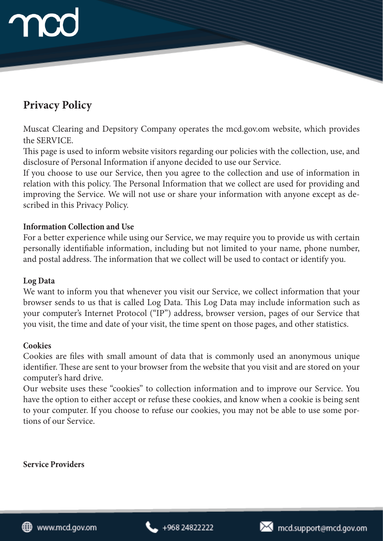# **Privacy Policy**

Muscat Clearing and Depsitory Company operates the mcd.gov.om website, which provides the SERVICE.

This page is used to inform website visitors regarding our policies with the collection, use, and disclosure of Personal Information if anyone decided to use our Service.

If you choose to use our Service, then you agree to the collection and use of information in relation with this policy. The Personal Information that we collect are used for providing and improving the Service. We will not use or share your information with anyone except as described in this Privacy Policy.

## **Information Collection and Use**

For a better experience while using our Service, we may require you to provide us with certain personally identifiable information, including but not limited to your name, phone number, and postal address. The information that we collect will be used to contact or identify you.

# **Log Data**

We want to inform you that whenever you visit our Service, we collect information that your browser sends to us that is called Log Data. This Log Data may include information such as your computer's Internet Protocol ("IP") address, browser version, pages of our Service that you visit, the time and date of your visit, the time spent on those pages, and other statistics.

# **Cookies**

Cookies are files with small amount of data that is commonly used an anonymous unique identifier. These are sent to your browser from the website that you visit and are stored on your computer's hard drive.

Our website uses these "cookies" to collection information and to improve our Service. You have the option to either accept or refuse these cookies, and know when a cookie is being sent to your computer. If you choose to refuse our cookies, you may not be able to use some portions of our Service.

**Service Providers**